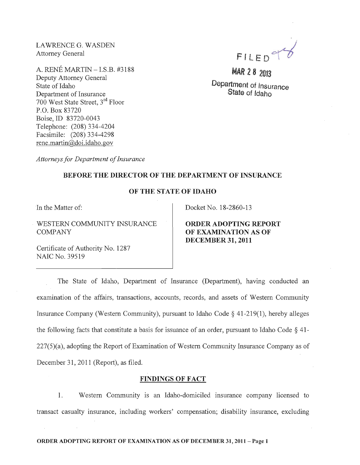LAWRENCE G. WASDEN Attorney General

A. RENE MARTIN -LS.B. #3188 Deputy Attorney General State of Idaho Department of Insurance 700 West State Street, 3rd Floor P.O. Box 83720 Boise,ID 83720-0043 Telephone: (208) 334-4204 Facsimile: (208) 334-4298 rene.martin@doi.idaho.gov

*Attorneys for Department of Insurance* 

FILED<sup>9</sup>

**MAR 28 2013** Department of Insurance

State of Idaho

## BEFORE THE DIRECTOR OF THE DEPARTMENT OF INSURANCE

## OF THE STATE OF IDAHO

In the Matter of:

WESTERN COMMUNITY INSURANCE COMPANY

Certificate of Authority No. 1287 NAIC No. 39519

Docket No. 18-2860-13

ORDER ADOPTING REPORT OF EXAMINATION AS OF DECEMBER 31,2011

The State of Idaho, Department of Insurance (Department), having conducted an examination of the affairs, transactions, accounts, records, and assets of Western Community Insurance Company (Western Community), pursuant to Idaho Code § 41-219(1), hereby alleges the following facts that constitute a basis for issuance of an order, pursuant to Idaho Code § 41- 227(5)(a), adopting the Report of Examination of Western Community Insurance Company as of December 31, 2011 (Report), as filed.

## FINDINGS OF FACT

1. Western Community is an Idaho-domiciled msurance company licensed to transact casualty insurance, including workers' compensation; disability insurance, excluding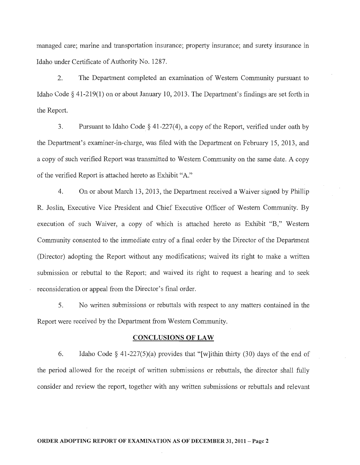managed care; marine and transportation insurance; property insurance; and surety insurance in Idaho under Certificate of Authority No. 1287.

2. The Department completed an examination of Western Community pursuant to Idaho Code § 41-219(1) on or about January 10,2013. The Department's findings are set forth in the Report.

3. Pursuant to Idaho Code  $\S$  41-227(4), a copy of the Report, verified under oath by the Department's examiner-in-charge, was filed with the Department on February 15,2013, and a copy of such verified Report was transmitted to Western Community on the same date. A copy of the verified Report is attached hereto as Exhibit "A."

4. On or about March 13,2013, the Department received a Waiver signed by Phillip R. Joslin, Executive Vice President and Chief Executive Officer of Western Community. By execution of such Waiver, a copy of which is attached hereto as Exhibit "B," Western Community consented to the immediate entry of a final order by the Director of the Department (Director) adopting the Report without any modifications; waived its right to make a written submission or rebuttal to the Report; and waived its right to request a hearing and to seek reconsideration or appeal from the Director's final order.

5. No written submissions or rebuttals with respect to any matters contained in the Report were received by the Department from Western Community.

#### CONCLUSIONS OF LAW

6. Idaho Code § 41-227(5)(a) provides that "[w]ithin thirty (30) days of the end of the period allowed for the receipt of written submissions or rebuttals, the director shall fully consider and review the report, together with any written submissions or rebuttals and relevant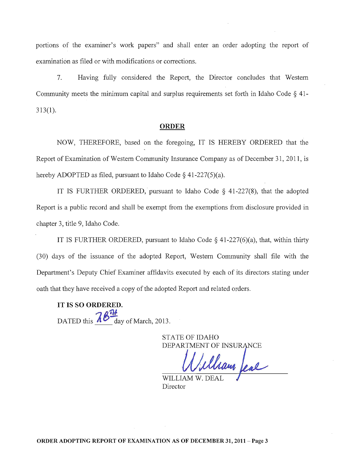portions of the examiner's work papers" and shall enter an order adopting the report of examination as filed or with modifications or corrections.

7. Having fully considered the Report, the Director concludes that Western Community meets the minimum capital and surplus requirements set forth in Idaho Code  $\S$  41-313(1).

#### ORDER

NOW, THEREFORE, based on the foregoing, IT IS HEREBY ORDERED that the Report of Examination of Western Community Insurance Company as of December 31, 2011, is hereby ADOPTED as filed, pursuant to Idaho Code  $\S$  41-227(5)(a).

IT IS FURTHER ORDERED, pursuant to Idaho Code  $\S$  41-227(8), that the adopted Report is a public record and shall be exempt from the exemptions from disclosure provided in chapter 3, title 9, Idaho Code.

IT IS FURTHER ORDERED, pursuant to Idaho Code  $\S$  41-227(6)(a), that, within thirty (30) days of the issuance of the adopted Report, Western Community shall file with the Department's Deputy Chief Examiner affidavits executed by each of its directors stating under oath that they have received a copy of the adopted Report and related orders.

IT IS SO ORDERED. DATED this  $\frac{76}{4}$  day of March, 2013.

> STATE OF IDAHO DEPARTMENT OF INSUE

Mam fear

WILLIAM W. D Director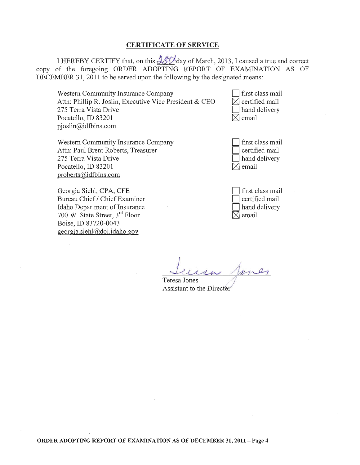#### CERTIFICATE OF SERVICE

I HEREBY CERTIFY that, on this  $45t\overline{\lambda}$  day of March, 2013, I caused a true and correct copy of the foregoing ORDER ADOPTING REPORT OF EXAMINATION AS OF DECEMBER 31,2011 to be served upon the following by the designated means:

Western Community Insurance Company Attn: Phillip R. Joslin, Executive Vice President & CEO 275 Terra Vista Drive Pocatello, ID 83201 pjoslin@idtbins.com

Western Community Insurance Company Attn: Paul Brent Roberts, Treasurer 275 Terra Vista Drive . Pocatello, ID 83201 proberts@idtbins.com

Georgia Siehl, CPA, CFE Bureau Chief / Chief Examiner Idaho Department of Insurance 700 W. State Street, 3rd Floor Boise,ID 83720-0043 georgia. siehl@,doi.idaho.gov

first class mail  $\boxtimes$  certified mail hand delivery email

| $\Box$ first class mail |
|-------------------------|
| certified mail          |
| hand delivery           |
| $ X $ email             |

| I first class mail |
|--------------------|
| certified mail     |
| hand delivery      |
| email              |

 $J_{\alpha\beta\gamma\delta}$  ,  $J_{\alpha\gamma\delta}$  $er_{\mathcal{L}}$ 

Teresa Jones Assistant to the Director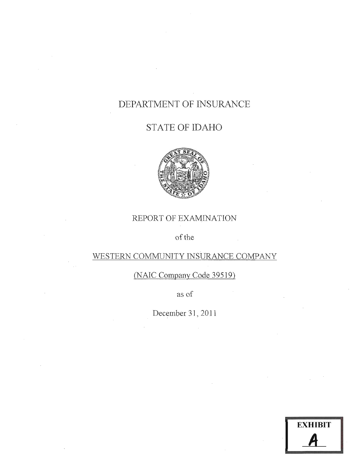# DEPARTMENT OF INSURANCE

# STATE OF IDAHO



## REPORT OF EXAMINATION

of the

## WESTERN COMMUNITY INSURANCE COMPANY

(NAIC Company Code 39519)

as of

December 31, **2011** 

**EXHIBIT**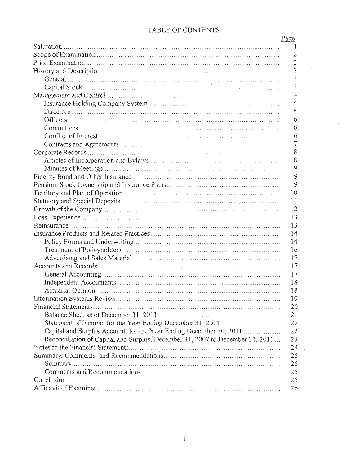## TABLE OF CONTENTS

| 1<br>2<br>$\overline{2}$<br>3<br>3<br>3<br>$\overline{4}$<br>4<br>5<br>6<br>6<br>$\overline{6}$<br>7<br>8<br>8<br>9<br>9<br>9<br>10<br>11<br>$12 \,$<br>13<br>13<br>14<br>14<br>16<br>$-17$<br>17<br>17<br>18<br>18<br>19<br>20<br>21<br>22<br>22<br>Reconciliation of Capital and Surplus, December 31, 2007 to December 31, 2011<br>23<br>24<br>25<br>25<br>25<br>25 | Page |
|------------------------------------------------------------------------------------------------------------------------------------------------------------------------------------------------------------------------------------------------------------------------------------------------------------------------------------------------------------------------|------|
|                                                                                                                                                                                                                                                                                                                                                                        |      |
|                                                                                                                                                                                                                                                                                                                                                                        |      |
|                                                                                                                                                                                                                                                                                                                                                                        |      |
|                                                                                                                                                                                                                                                                                                                                                                        |      |
|                                                                                                                                                                                                                                                                                                                                                                        |      |
|                                                                                                                                                                                                                                                                                                                                                                        |      |
|                                                                                                                                                                                                                                                                                                                                                                        |      |
|                                                                                                                                                                                                                                                                                                                                                                        |      |
|                                                                                                                                                                                                                                                                                                                                                                        |      |
|                                                                                                                                                                                                                                                                                                                                                                        |      |
|                                                                                                                                                                                                                                                                                                                                                                        |      |
|                                                                                                                                                                                                                                                                                                                                                                        |      |
|                                                                                                                                                                                                                                                                                                                                                                        |      |
|                                                                                                                                                                                                                                                                                                                                                                        |      |
|                                                                                                                                                                                                                                                                                                                                                                        |      |
|                                                                                                                                                                                                                                                                                                                                                                        |      |
|                                                                                                                                                                                                                                                                                                                                                                        |      |
|                                                                                                                                                                                                                                                                                                                                                                        |      |
|                                                                                                                                                                                                                                                                                                                                                                        |      |
|                                                                                                                                                                                                                                                                                                                                                                        |      |
|                                                                                                                                                                                                                                                                                                                                                                        |      |
|                                                                                                                                                                                                                                                                                                                                                                        |      |
|                                                                                                                                                                                                                                                                                                                                                                        |      |
|                                                                                                                                                                                                                                                                                                                                                                        |      |
|                                                                                                                                                                                                                                                                                                                                                                        |      |
|                                                                                                                                                                                                                                                                                                                                                                        |      |
|                                                                                                                                                                                                                                                                                                                                                                        |      |
|                                                                                                                                                                                                                                                                                                                                                                        |      |
|                                                                                                                                                                                                                                                                                                                                                                        |      |
|                                                                                                                                                                                                                                                                                                                                                                        |      |
|                                                                                                                                                                                                                                                                                                                                                                        |      |
|                                                                                                                                                                                                                                                                                                                                                                        |      |
|                                                                                                                                                                                                                                                                                                                                                                        |      |
|                                                                                                                                                                                                                                                                                                                                                                        |      |
|                                                                                                                                                                                                                                                                                                                                                                        |      |
|                                                                                                                                                                                                                                                                                                                                                                        |      |
|                                                                                                                                                                                                                                                                                                                                                                        |      |
|                                                                                                                                                                                                                                                                                                                                                                        |      |
|                                                                                                                                                                                                                                                                                                                                                                        |      |
|                                                                                                                                                                                                                                                                                                                                                                        |      |
|                                                                                                                                                                                                                                                                                                                                                                        |      |
|                                                                                                                                                                                                                                                                                                                                                                        |      |
|                                                                                                                                                                                                                                                                                                                                                                        | 26   |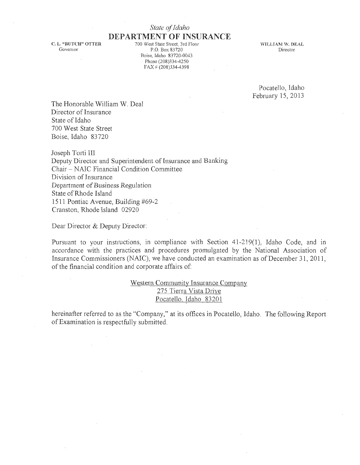## *State of Idaho*

C. L. "BUTCH" OTTER Governor

DEPARTMENT OF INSURANCE 700 West State Street, 3rd Floor P.O. Box 83720 Boise, Idaho 83720-0043 Phone (208)334-4250  $FAX \neq (208)334-4398$ 

WILLIAM W. DEAL Director

Pocatello, Idaho February 15, 2013

The Honorable William W. Deal Director of Insurance State of Idaho 700 West State Street Boise, Idaho 83720

Joseph Torti III Deputy Director and Superintendent of Insurance and Banking Chair - *NA1C* Financial Condition Committee Division of Insurance Department of Business *Regulation*  State of Rhode Island 1511 Pontiac Avenue, Building #69-2 Cranston, Rhode Island 02920

Dear Director & Deputy Director:

Pursuant to your instructions, in compliance with Section 41-219(1), Idaho Code, and in accordance with the practices and procedures promulgated by the National Association of Insurance Commissioners (NAIC), we have conducted an examination as of December 31, 2011, of the financial condition and corporate affairs of:

> Western Community Insurance Company 275 Tierra Vista Drive Pocatello, Idaho 83201

hereinafter referred to as the "Company," at its offices in Pocatello, Idaho. The following Report of Examination is respectfully submitted.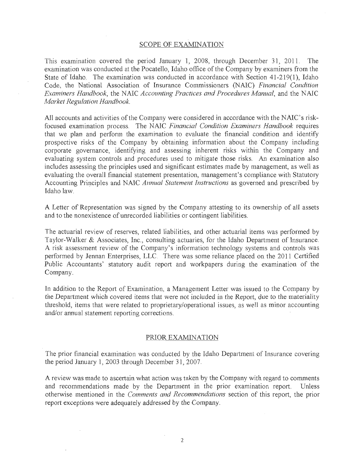#### SCOPE OF EXAMINATION

This examination covered the period January 1, 2008, through December 31, 2011. The examination was conducted at the Pocatello, Idaho office of the Company by examiners from the State of Idaho. The examination was conducted in accordance with Section 41-219(1), Idaho Code, the National Association of Insurance Commissioners (NAIC) *Hnancial Condition Examiners Handbook,* the NAIC *Accounting Practices and Procedures Manual,* and the NATC *Market Regulation Handbook.* 

All accounts and activities of the Company were considered in accordance with the NAIC's riskfocused examination process. The NAIC *Financial Condition Examiners Handbook* requires that we plan and perform the examination to evaluate the financial condition and identify prospective risks of the Company by obtaining information about the Company including corporate governance, identifying and assessing inherent risks within the Company and evaluating system controls and procedures used to mitigate those risks. An examination also includes assessing the principles used and significant estimates made by management, as well as evaluating the overall financial statement presentation, management's compliance with Statutory Accounting Principles and NAIC *Annual Statement Instructions* as governed and prescribed by Idaho law.

A Letter of Representation was signed by the Company attesting to its ownership of all assets and to the nonexistence of unrecorded liabilities or contingent liabilities.

The actuarial review of reserves, related liabilities, and other actuarial items was performed by Taylor-Walker & Associates, Inc., consulting actuaries, for the Idaho Department of Insurance. A risk assessment review of the Company's information technology systems and controls was performed by Jennan Enterprises, LLC. There was some reliance placed on the 2011 Certified Public Accountants' statutory audit report and wofkpapers during the examination of the Company.

In addition to the Report of Examination, a Management Letter was issued to the Company by the Department which covered items that were not included in the Report, due to the materiality threshold, items that were related to proprietary/operational issues, as well as minor accounting and/or annual statement reporting corrections.

#### PRIOR EXAMINATION

The prior financial examination was conducted by the Idaho Department of Insurance covering the period January 1, 2003 through December 31, 2007.

A review was made to ascertain what action was taken by the Company with regard to comments and recommendations made by the Department in the prior examination report. Unless otherwise mentioned in the *Comments and Recommendations* section of this report, the prior report exceptions were adequately addressed by the Company.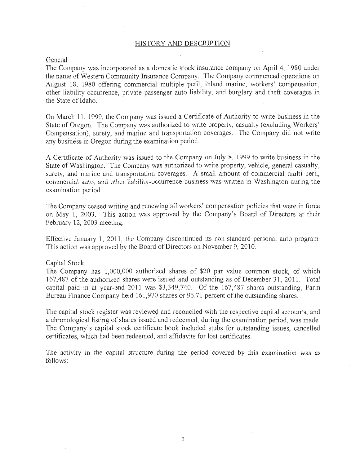#### HISTORY AND DESCRIPTION

#### General

The Company was incorporated as a domestic stock insurance company on April 4, 1980 under the name of Western Community Insurance Company. The Company commenced operations on August 18, 1980 offering commercial multiple peril, inland marine, workers' compensation, other liability-occurrence, private passenger auto liability, and burglary and theft coverages in the State of Idaho

On March 11, 1999, the Company was issued a Certificate of Authority to write business in the State of Oregon. The Company was authorized to write property, casualty (excluding Workers' Compensation), surety, and marine and transportation coverages. The Company did not write any business in Oregon during the examination period.

A Certjficate of Authority was issued to the Company on July 8, 1999 to write business in the State of Washington. The Company was authorized to write property, vehicle, general casualty, surety; and marine and transportation coverages. A small amount of commercial multi peril, commercial auto, and other liability-occurrence business was written in Washington during the examination period.

The Company ceased writing and renewing all workers' compensation policies that were in force on May 1, 2003. This action was approved by the Company's Board of Directors at their February 12, 2003 meeting.

Effective January 1, 2011, the Company discontinued its non-standard personal auto program. This action was approved by the Board of Directors on November 9,2010.

#### Capital Stock

The Company has 1,000,000 authorized shares of \$20 par value common stock, of which 167,487 of the authorized shares were issued and outstanding as of December 31,2011. Total capital paid in at year-end 2011 was \$3,349,740. Of the 16?,487 shares outstanding, Farm Bureau Finance Company held 161,970 shares or 96.71 percent of the outstanding shares.

The capital stock register was reviewed and reconciled with the respective capital accounts, and a chronological listing of shares issued and redeemed, during the examination period, was made. The Company's capitai stock certificate book included stubs for outstanding issues, cancelled certificates, which had been redeemed, and affidavits for lost certificates.

The activity in the capital structure during the period covered by this examination was as follows: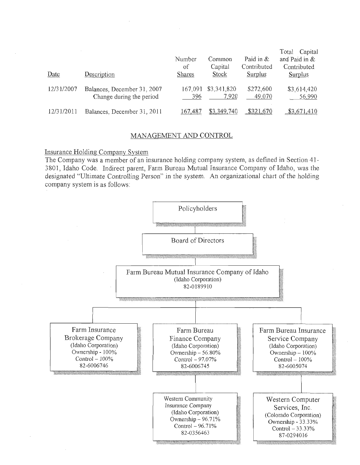| Date       | Description                                             | Number<br>οf<br><b>Shares</b> | Common<br>Capital<br>Stock | Paid in $\&$<br>Contributed<br>Surplus | Capital<br>Total<br>and Paid in $&$<br>Contributed<br><b>Surplus</b> |
|------------|---------------------------------------------------------|-------------------------------|----------------------------|----------------------------------------|----------------------------------------------------------------------|
| 12/31/2007 | Balances, December 31, 2007<br>Change during the period | 167,091<br>396                | \$3,341,820<br>7,920       | \$272,600<br>49,070                    | \$3,614,420<br>56,990                                                |
| 12/31/2011 | Balances, December 31, 2011                             | 167.487                       | \$3,349,740                | \$321,670                              | \$3,671,410                                                          |

## MANAGEMENT AND CONTROL

## Insurance Holding Company SYstem

The Company was a member of an insurance holding company system, as defined in Section 41- 380], Idaho Code. Indirect parent, Farm Bureau Mutual Insurance Company of Idaho, was the designated "Ultimate Controlling Person" in the system. An organizational chart of the holding company system is as follows:

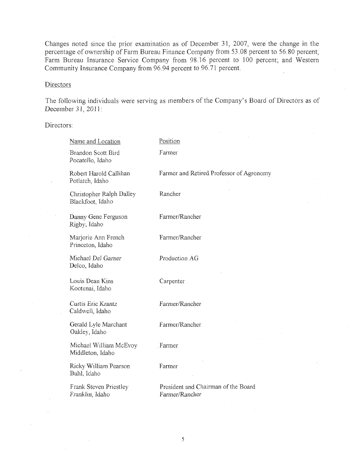Changes noted since the prior examination as of December 31, 2007, Were the change in the percentage of ownership of Farm Bureau Finance Company from 53.08 percent to 56.80 percent; Farm Bureau Insurance Service Company from 98.16 percent to 100 percent; and Western Community Insurance Company from 96.94 percent to 96.71 percent.

## **Directors**

The following individuals were serving as members of the Company's Board of Directors as of December 31,2011:

Directors:

| Name and Location                            | Position                                              |
|----------------------------------------------|-------------------------------------------------------|
| Brandon Scott Bird<br>Pocatello, Idaho       | Farmer                                                |
| Robert Harold Callihan<br>Potlatch, Idaho    | Farmer and Retired Professor of Agronomy              |
| Christopher Ralph Dalley<br>Blackfoot, Idaho | Rancher                                               |
| Danny Gene Ferguson<br>Rigby, Idaho          | Farmer/Rancher                                        |
| Marjorie Ann French<br>Princeton, Idaho      | Farmer/Rancher                                        |
| Michael Del Garner<br>Delco, Idaho           | Production AG                                         |
| Louis Dean Kins<br>Kootenai, Idaho           | Carpenter                                             |
| Curtis Eric Krantz<br>Caldwell, Idaho        | Farmer/Rancher                                        |
| Gerald Lyle Marchant<br>Oakley, Idaho        | Farmer/Rancher                                        |
| Michael William McEvov<br>Middleton, Idaho   | Farmer                                                |
| Ricky William Pearson<br>Buhl, Idaho         | Farmer                                                |
| Frank Steven Priestley<br>Franklin, Idaho    | President and Chairman of the Board<br>Farmer/Rancher |
|                                              |                                                       |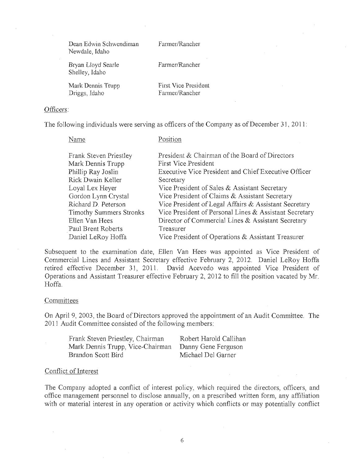Dean Edwin Schwendiman Newdale, Idaho

Farmer/Rancher

Bryan Lloyd Searle Shelley, Idaho

Farmer/Rancher

Mark Dennis Trupp Driggs, Idaho

First Vice President Farmer/Rancher

## Officers:

The following individuals were serving as officers of the Company as of December 3], 2011:

Name

Position

| Frank Steven Priestley         | President & Chairman of the Board of Directors         |
|--------------------------------|--------------------------------------------------------|
| Mark Dennis Trupp              | <b>First Vice President</b>                            |
| Phillip Ray Joslin             | Executive Vice President and Chief Executive Officer   |
| Rick Dwain Keller              | Secretary                                              |
| Loyal Lex Heyer                | Vice President of Sales & Assistant Secretary          |
| Gordon Lynn Crystal            | Vice President of Claims & Assistant Secretary         |
| Richard D. Peterson            | Vice President of Legal Affairs & Assistant Secretary  |
| <b>Timothy Summers Stronks</b> | Vice President of Personal Lines & Assistant Secretary |
| Ellen Van Hees                 | Director of Commercial Lines & Assistant Secretary     |
| Paul Brent Roberts             | Treasurer                                              |
| Daniel LeRoy Hoffa             | Vice President of Operations & Assistant Treasurer     |

Subsequent to the examination date, Ellen Van Hees was appointed as Vice President of Commercial Lines and Assistant Secretary effective February 2, 2012. Daniel LeRoy Hoffa retired effective December 31, 2011. David Acevedo was appointed Vice President of Operations and Assistant Treasurer effective February 2, 2012 to fill the position vacated by Mr. Hoffa.

#### **Committees**

On Apri19, 2003, the Board of Directors approved the appointment of an Audit Committee. The 201] Audit Committee consisted of the following members:

| Frank Steven Priestley, Chairman | Robert Harold Callihan |
|----------------------------------|------------------------|
| Mark Dennis Trupp, Vice-Chairman | Danny Gene Ferguson    |
| Brandon Scott Bird               | Michael Del Garner     |

#### Conflict of Interest

The Company adopted a conflict of interest policy, which required the directors, officers, and office management personnel to disclose annually, on a prescribed written form, any affiliation with or material interest in any operation or activity which conflicts or may potentially conflict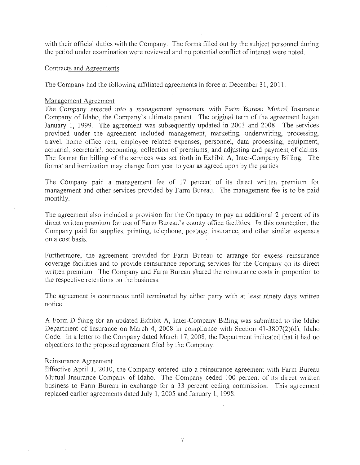with their official duties with the Company. The forms filled out by the subject personnel during the period under examination were reviewed and no potential conflict of interest were noted.

#### Contracts and Agreements

The Company had the following affiliated agreements in force at December 31, 2011:

#### Management Agreement

The Company *entered into* a management agreement with Farm Bureau Mutua! Insuranoe Company of Idaho, the Company's ultimate parent. The original term of the agreement began January 1, 1999. The agreement was subsequently updated in 2003 and 2008. The services provided under the agreement included management, marketing, underwriting, processing, travel, home office rent, employee related expenses, personnel, data processing, equipment, actuarial, secretarial, accounting, collection of premiums, and adjusting and payment of claims. The format for billing of the services was set forth in Exhibit A, Inter-Company Billing. The format and itemization may change from year to year as agreed upon by the parties.

The Company paid a management fee of 17 percent of its direct written premium for management and other services provided by Farm Bureau. The management fee is to be paid monthly.

The agreement also included a provision for the Company to pay an additional 2 percent of its direct written premium for use of Farm Bureau's county office facilities. In this connection, the Company paid for supplies, printing, telephone, postage; insurance, and other similar expenses on a cost basis. .

Furthermore, the agreement provided for Farm Bureau to arrange for excess reinsurance coverage facilities and to provide reinsurance reporting services for the Company on its direct written premium. The Company and Farm Bureau shared the reinsurance costs in proportion to the respective retentions on the business.

The agreement is continuous until terminated by either party with at least ninety days written notice.

A Form D filing for an updated Exhibit A, Inter-Company BiUing was submitted to the Idaho Department of Insurance on March 4, 2008 in compliance with Section 41-3807(2)(d), Idaho Code. In a letter to the Company dated March 17, 2008, the Department indicated that it had no objections to the proposed agreement filed by the Company.

#### Reinsurance Agreement

Effective April 1, 2010, the Company entered into a reinsurance agreement with Farm Bureau Mutual Insurance Company of Idaho. The Company ceded 100 percent of its direct written business to Farm Bureau in exchange for a 33 percent ceding commission. This agreement replaced earlier agreements dated July 1,2005 and January 1, 1998.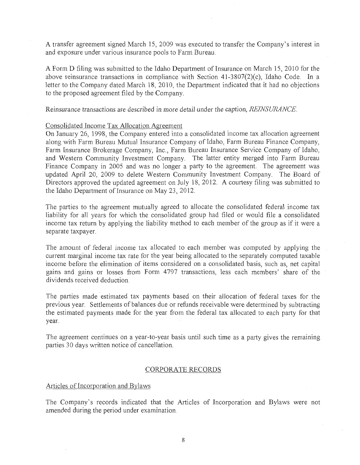A transfer agreement signed March 15, 2009 was executed to transfer the Company's interest in and exposure under various insurance pools to Farm Bureau.

A Form D filing was submitted to the Idaho Department of Insurance on March 15, 2010 for the above reinsurance transactions in compliance with Section 41-3807(2)(c), Idaho Code. In a letter to the Company dated March 18, 2010, the Department indicated that it had no objections to the proposed agreement filed by the Company.

Reinsurance transactions are described *in more detail* under the caption, *REINSURANCE* 

### Consolidated Income Tax Allocation Agreement

On January 26, 1998, the Company entered into a consolidated income tax allocation agreement along with Farm Bureau Mutual Insurance Company of Idaho, Farm Bureau Finance Company, Farm Insurance Brokerage Company, Inc., Farm Bureau Insurance Service Company of Idaho, and Western Community Investment Company. The latter entity merged into Farm Bureau Finance Company in 2005 and was no longer a party to the agreement. The agreement was updated April 20, 2009 to delete Western Community Investment Company. The Board of Directors approved the updated agreement on July 18, 2012. A courtesy filing was submitted to the Idaho Department of Insurance on May 23, 2012.

The parties to the agreement mutually agreed to allocate the consolidated federal income tax liability for all years for which the consolidated group had filed *ot* would file a consolidated income tax return by applying the liability method to each member of the group as if it were a separate taxpayer.

The amount of federal income tax aJlocated to each member was computed by applying the current marginal income tax rate for the year being allocated to the separately computed taxable income before the elimination of items considered on a consolidated basis, such as, net capital gains and gains or losses from Form 4797 transactions, less each members' share of the dividends received deduction.

The parties made estimated tax payments based on their allocation of federal taxes for the previous year. Settlements of balances due or refunds receivable were determined by subtracting the estimated payments made for the year from the federal tax allocated to each party for that year.

The agreement continues on a year-to-year basis until such time as a party gives the remaining parties 30 days written notice of cancellation.

### CORPORATE RECORDS

## Articles of Incorporation and Bylaws

The Company's records indicated that the Articles of Incorporation and Bylaws were not amended during the period under examination.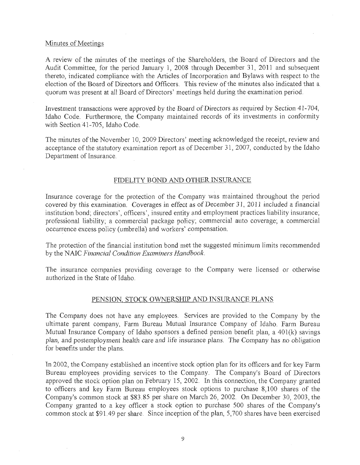#### Minutes of Meetings

A review of the minutes of the meetings of the Shareholders., the Board of Directors and the Audit Committee, for the period January 1, 2008 through December 31, 2011 and subsequent thereto, indicated compliance with the Articles of Incorporation and Bylaws with respect to the election of the Board of Directors and Officers. This review of the minutes also indicated that a quorum was present at all Board of Directors' meetings held during the examination period.

Investment transactions were approved by the Board of Directors as required by Section 41-704, Idaho Code. Furthermore, the Company maintained records of its investments in conformity with Section 41-705, Idaho Code.

The minutes of the November 10,2009 Directors' meeting acknowledged the receipt, review and acceptance of the statutory examination report as of December 31,2007, conducted by the Idaho Department of Insurance.

## FIDELITY BOND AND OTHER INSURANCE

Insurance coverage for the protection of the Company was maintained throughout the period covered by this examination. Coverages in effect as of December 31, 2011 included a financial institution bond; directors', officers', insured entity and employment practices liability inswance; professional liability; a commercial package policy; commercial auto coverage; a commercial occurrence excess policy (umbrella) and workers' compensation.

The protection of the financial institution bond met the suggested minimum limits recommended by the NAIC *Financial Condition Examiners Handbook.* 

The insurance companies providing coverage to the Company were licensed or otherwise authorized in the State of Idaho.

## PENSION, STOCK OWNERSHIP AND INSURANCE PLANS

The Company does not have any employees. Services are provided to the Company by the ultimate parent company, Farm Bureau Mutual Insurance Company of Idaho. Farm Bureau Mutual Insurance Company of Idaho sponsors a defined pension benefit plan, a  $401(k)$  savings plan, and postemployment health care and life insurance plans. The Company has no obligation for benefits under the plans.

In 2002, the Company established an incentive stock option plan for its offlcers and for key Farm Bureau employees providing services to the Company. The Company's Board of Directors approved the stock option plan on February 15, 2002. In this connection, the Company granted to officers and key Farm Bureau employees stock options to purchase 8.100 shares of the Company's common stock at \$83.85 per share on March 26, 2002. On December *30,* 2003, the Company granted to a key officer a stock option to purchase 500 shares of the Company's common stock at \$91.49 per share. Since inception of the plan, 5,700 shares have been exercised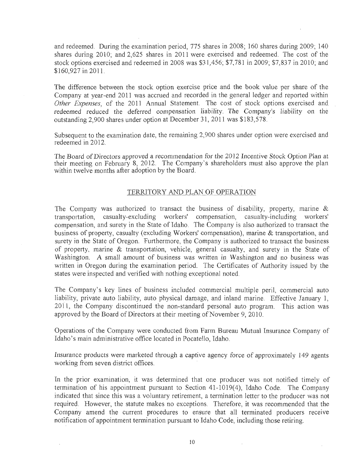and redeemed. During the examination period, 775 shares in 2008; 175 shares during 2008; 170 shares during 200 d redeemed. During the examination period,  $775$  shares in 2008; 160 shares during 2009; 140 shares during 2010, and 2,625 shares in 2011 were exercised and redeemed. The cost of the stock options exercised and redeemed in 2008 was \$31,456; \$7,781 in 2009; \$7,837 in 2010; and \$160,927 in 2011.

The difference between the stock option exercise price .and the book value per share of the Le difference between the stock option exercise price and the book value per share of the Company at year-end 2011 was accrued and recorded in the general ledger and reported within Other Expenses, of the 2011 Annual Statement. The cost of stock options exercised and redeemed reduced the deferred compensation liability. The Company's liability on the outstanding 2.900 shares under option at December 31, 2011 was \$183,578.

Subsequent to the examination date, the remaining 2,900 shares under option were exercised and rbsequent to the exa

 $T$  board of Directors approved a recommendation for the 2012 Incentive Stock Option Plan at  $\frac{1}{2}$ the Board of Directors approved a recommendation for the 2012 Incentive Stock Option Plan at their meeting on February 8, 2012. The Company's shareholders must also approve the plan within twelve months after adoption by the Board.

## TERRITORY AND PLAN OF OPERATION

The Company was authorized to transact the business of disability, property, marine & to Company was authorized to transact the business of disability, property, martie  $\alpha$ transportation, casualty-excluding workers' compensation, casualty-including workers' compensation, and surety in the State of Idaho. The Company is also authorized to transact the business of property, casualty (excluding Workers' compensation), marine & transportation, and surety in the State of Oregon. Furthermore, the Company is authorized to transact the business of property, marine & transportation, vehicle, general casualty, and surety in the State of Washington. A small amount of business was written in Washington and no business was written in Oregon during the examination period. The Certificates of Authority issued by the states were inspected and verified with nothing exceptional noted.

The Company's key lines of business included commercial multiple perit, commercial auto le company s key mies of business included commercial mumple pern, commercial auto liability, private auto liability, auto physical damage, and inland marine. Effective January 1, 2011, the Company discontinued the non-standard personal auto program. This action was approved by the Board of Directors at their meeting of November 9, 2010.

Operations of the Company were conducted from Farm Bureau Mutual Insurance Company of Idiaholis of the Company were conducted from Parin Bureau

Insurance products were marketed through a captive agency force of approximately  $\alpha$ surance products were marketed infough a capity

In the prior examination, it was determined that one producer was not notified timely of the prior examination, it was determined that one producer was not notified timely of termination of his appointment pursuant to Section 41-1019(4), Idaho Code. The Company indicated that since this was a voluntary retirement, a termination letter to the producer was not required. However, the statute makes no exceptions. Therefore, it was recommended that the Company amend the current procedures to ensure that all terminated producers receive notification of appointment termination pursuant to Idaho Code, including those retiring.

 $\mathcal{L}_{\mathcal{A}}$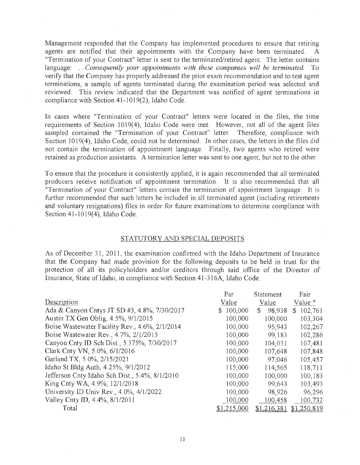Management responded that the Company has implemented procedures to ensure that retiring agents are notified that their appointments with the Company have been terminated. "Termination of your Contract" letter is sent to the terminated/retired agent. The letter contains language: ... *Consequently your appointments with these companies will be terminated.* To verify that the Company has properly addressed the prior exam recommendation and to test agent . terminations, a sample of agents terminated during the examination period was selected and reviewed. This review indicated that the Department was notified of agent terminations in compliance with Section 41-1019(2), Idaho Code.

In cases where "Termination of your Contract" letters were located in the files, the time requirements of Section 1019(4), Idaho Code were met. However, not all of the agent files sampled contained the "Termination of your Contract" letter. Therefore, compliance with Section 1019(4), Idaho Code, could not be determined. In other cases, the letters in the files did not contain the termination of appointment language. Finally, two agents who retired were retained as production assistants. A termination letter was sent to one agent, but not to the other.

To ensure that the procedure is consistently applied, it is again recommended that all terminated producers receive notification of appointment termination. It is also recommended that all "Termination of your Contract" letters contain the termination of appointment language. It is further recommended that such letters be included in all terminated agent (including retirements and voluntary resignations) files in order for future examinations to determine compliance with Section 41-1019(4), Idaho Code.

#### STATUTORY AND SPECIAL DEPOSITS

As of December 31, 2011, the examination confirmed with the Idaho Department of Insurance that the Company had made provision for the following deposits to be held in trust for the protection of all its policyholders and/or creditors through said office of the Director of Insurance, State of Idaho, in compliance with Section 41-316A, Idaho Code.

|                                                | Par                      | Statement     | Fair                      |
|------------------------------------------------|--------------------------|---------------|---------------------------|
| Description                                    | Value                    | Value         | Value *                   |
| Ada & Canyon Cntys JT SD #3, 4.8%, 7/30/2017   | 100,000<br>$\mathcal{S}$ | 98,938<br>\$. | 102,761<br>$\mathbb{S}^-$ |
| Austin TX Gen Oblig, 4.5%, 9/1/2015            | 100,000                  | 100,000       | 103,304                   |
| Boise Wastewater Facility Rev., 4.6%, 2/1/2014 | 100,000                  | 95,943        | 102,267                   |
| Boise Wastewater Rev., 4.7%, 2/1/2015          | 100,000                  | 99,183        | 102,286                   |
| Canyon Cnty ID Sch Dist., 5.375%, 7/30/2017    | 100,000                  | 104,031       | 107,481                   |
| Clark Cnty VN, 5.0%, 6/1/2016                  | 100,000                  | 107,648       | 107,848                   |
| Garland TX, 5.0%, 2/15/2021                    | 100,000                  | 97,046        | 105,457                   |
| Idaho St Bldg Auth, 4.25%, 9/1/2012            | 115,000                  | 114,565       | 118,711                   |
| Jefferson Cnty Idaho Sch Dist., 5.4%, 8/1/2010 | 100,000                  | 100,000       | 100,183                   |
| King Cnty WA, 4.9%, 12/1/2018                  | 100,000                  | 99,643        | 103,493                   |
| University ID Univ Rev., 4.0%, 4/1/2022        | 100,000                  | 98,926        | 96,296                    |
| Valley Cnty ID, 4.4%, 8/1/2011                 | 100,000                  | 100,458       | 100,732                   |
| Total                                          | ,215,000                 | \$1,216,381   | \$1,250,819               |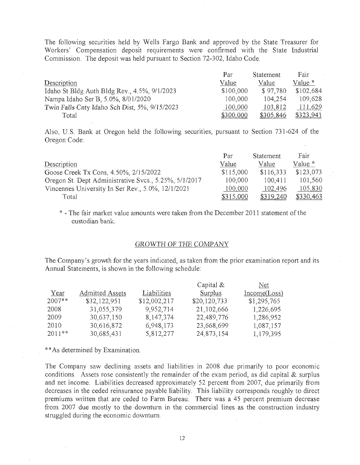The following securities held by Wells Fargo Bank and approved by the State Treasurer for Workers' Compensation deposit requirements were confirmed with the State Industrial Commission. The deposit was held pursuant to Section 72-302, Idaho Code.

|                                               | Par       | <b>Statement</b> | Fair      |
|-----------------------------------------------|-----------|------------------|-----------|
| Description                                   | Value     | Value            | Value *   |
| Idaho St Bldg Auth Bldg Rev., 4.5%, 9/1/2023  | \$100,000 | \$97.780         | \$102,684 |
| Nampa Idaho Ser B, 5.0%, 8/01/2020            | 100,000   | 104.254          | 109,628   |
| Twin Falls Cnty Idaho Sch Dist, 5%, 9/15/2023 | 100,000   | 103,812          | 111,629   |
| Total                                         | \$300,000 | \$305,846        | \$323,941 |

Also, U.S. Bank at Oregon held the following securities, pursuant to Section 731-624 of the Oregon Code:

|                                                       | Par       | Statement | Fair      |
|-------------------------------------------------------|-----------|-----------|-----------|
| Description                                           | Value     | Value     | Value *   |
| Goose Creek Tx Cons, 4.50%, 2/15/2022                 | \$115,000 | \$116,333 | \$123,073 |
| Oregon St. Dept Administrative Svcs., 5.25%, 5/1/2017 | 100,000   | 100,411   | 101,560   |
| Vincennes University In Ser Rev., 5.0%, 12/1/2021     | 100,000   | 102,496   | 105,830   |
| Total                                                 | \$315,000 | \$319,240 | \$330,463 |

\* - The fair market value amounts were taken from the December 2011 statement of the custodian bank.

## GROWTH OF THE COMPANY

The Company's growth for the years indicated, as taken from the prior examination report and its Annual Statements, is shown in the following schedule:

|          |                        |              | Capital $&$  | Net          |
|----------|------------------------|--------------|--------------|--------------|
| Year     | <b>Admitted Assets</b> | Liabilities  | Surplus      | Income(Loss) |
| $2007**$ | \$32,122,951           | \$12,002,217 | \$20,120,733 | \$1,295,765  |
| 2008     | 31,055,379             | 9,952,714    | 21,102,666   | 1,226,695    |
| 2009     | 30,637,150             | 8,147,374    | 22,489,776   | 1,286,952    |
| 2010     | 30,616,872             | 6,948,173    | 23,668,699   | 1,087,157    |
| $2011**$ | 30,685,431             | 5,812,277    | 24,873,154   | 1,179,395    |

\*\* As determined by Examination.

The Company saw declining assets and liabilities in 2008 due primarily to poor economic conditions. Assets rose consistently the remainder of the exam period, as did capital & surplus and net income. Liabilities decreased approximately 52 percent from 2007, due primarily from decreases in the ceded reinsurance payable liability. This liability corresponds roughly to direct premiums written that are ceded to Farm Bureau. There was a 45 percent premium decrease from 2007 due mostly to the downturn in the commercial lines as the construction industry struggled during the economic downturn.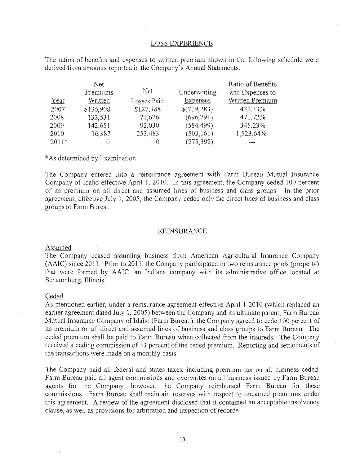## LOSS EXPERIENCE

The ratios of benefits and expenses to written premium shown in the following schedule were derived from amounts reported in the Company's Annual Statements:

|         | Net       |             |                 | Ratio of Benefits |
|---------|-----------|-------------|-----------------|-------------------|
|         | Premiums  | Net         | Underwriting    | and Expenses to   |
| Year    | Written   | Losses Paid | <b>Expenses</b> | Written Premium   |
| 2007    | \$136,908 | \$127,388   | \$(719,283)     | 432.33%           |
| 2008    | 132,531   | 71,626      | (696, 791)      | 471.72%           |
| 2009    | 142,651   | 92,030      | (584, 499)      | 345.23%           |
| 2010    | 16,387    | 253,483     | (503, 161)      | 1,523.64%         |
| $2011*$ |           |             | (275, 392)      |                   |

\* As determined by Examination.

The Company entered into a reinsurance agreement with Farm Bureau Mutual Insurance Company of Idaho effective April 1, 2010. In this agreement, the Company ceded 100 percent of its premium on all direct and assumed lines of business and class groups. In the prior agreement, effective July 1, 2005, the Company ceded only the direct lines of *business* and class groups to Farm Bureau.

#### REINSURANCE

#### Assumed

The Company ceased assuming business from American Agricultural Insurance Company (AAIC) since 2011. Prior to 2011, the Company participated in two reinsurance pools (property) that were formed by AAIC, an Indiana company with its administrative office located at Schaumburg, Illinois.

#### Ceded

As mentioned earlier, under a reinsurance agreement effective April 1 2010 (which replaced an earlier agreement dated July 1, 2005) between the Company and its ultimate parent, Farm Bureau Mutual Insurance Company of Idaho (Farm Bureau), the Company agreed to cede 100 percent of its premium on all direct and assumed lines of business and class groups to Farm Bureau. The ceded premium shall be paid to Farm Bureau when collected from the insureds. The Company received a ceding commission of 33 percent of the ceded premium. Reporting and settlements of the transactions were made on a monthly basis.

The Company paid all federal and states taxes, including premium tax on all business ceded. Farm Bureau paid all agent commissions and overwrites on all business issued by Farm Bureau agents for the Company; however, the Company reimbursed Farm Bureau for these commissions. Farm Bureau shall maintain reserves with respect to unearned premiums under this agreement. A review of the agreement disclosed that it contained an acceptable insolvency clause, as well as provisions for arbitration and inspection of records.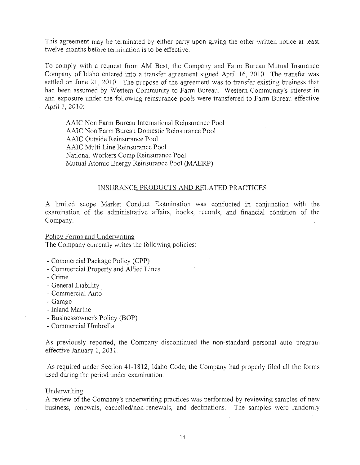This agreement may be terminated by either party upon giving the other written notice at least twelve months before termination is to be effective.

To comply with a request from AM Best, the Company and Farm Bureau Mutual Insurance Company of Idaho entered into a transfer agreement signed April 16, 2010. The transfer was settled on June 21, 2010. The purpose of the agreement was to transfer existing business that had been assumed by Western Community to Farm Bureau. Western Community's interest in and exposure under the following reinsurance pools were transferred to Farm Bureau effective April 1, 2010:

AAlC Non Farm Bureau International Reinsurance Pool AA1C Non Farm Bureau Domestic Reinsurance Pool AAlC Outside Reinsurance Pool AAlC Multi Line Reinsurance Pool National Workers Comp Reinsurance Pool Mutual Atomic Energy Reinsurance Pool (MAERP)

## INSURANCE PRODUCTS AND RELATED PRACTICES

A limited scope Market Conduct Examination was conducted in conjunction with the examination of the administrative affairs, books, records, and financial condition of the Company.

Policy Forms and Underwriting The Company currently writes the following policies:

- Commercial Package Policy (CPP)
- Commercial Property and Allied Lines
- Crime
- General Liability
- Commercial Auto
- Garage
- Inland Marine
- Businessowner's Policy (BOP)
- Commercial Umbrella

As previously reported, the Company discontinued the non-standard personal auto program effective January 1, 2011.

As required under Section 41-1812, Idaho Code, the Company had properly filed all the forms used during the period under examination.

#### Underwriting

A review of the Company's underwriting practices was performed by reviewing samples of new business, renewals, cancelled/non-renewals, and declinations. The samples were randomly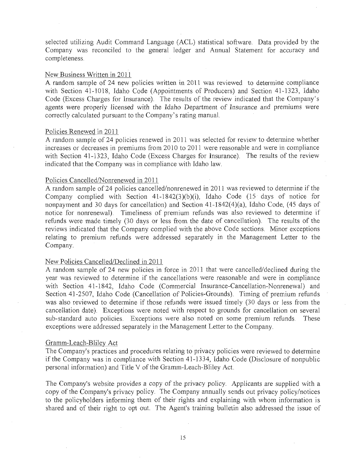selected utilizing Audit Command Language (ACL) statistical software. Data provided by the Company was reconciled to the general ledger and Annual Statement for accuracy and completeness.

#### New Business Written in 2011

A random sample of 24 new policies written in 2011 was reviewed to determine compliance with Section 41-1018, Idaho Code (Appointments of Producers) and Section 41-1323, Idaho Code (Excess Charges for Insurance). The results of the review indicated that the Company's agents were properly licensed with the Idaho Department of Insurance and premiums were correctly calculated pursuant to the Company's rating manual.

#### Policies Renewed in 2011

A random sample of 24 policies renewed in 2011 was selected fot review to detennine whether increases or decreases in premiums from 2010 to 2011 were reasonable and were in compliance with Section 41-1323, Idaho Code (Excess Charges for Insurance). The results of the review indicated that the Company was in compliance with Idaho law.

#### Policies Cancelled/Nonrenewed in 2011

. A random sample of 24 policies cancelled/nonrenewed in 2011 was reviewed to determine if the Company complied with Section 41-1842(3)(b)(i), Idaho Code (15 days of notice for nonpayment and 30 days for cancellation) and Section 41-1842(4)(a), Idaho Code, (45 days of notice for nonrenewal). Timeliness of premium refunds was also reviewed to determine if refunds were made timely (30 days or less from the date of cancellation). The results of the reviews indicated that the Company complied with the above Code sections. Minor exceptions relating to premium refunds were addressed separately in the Management Letter to the Company.

## New Policies Cancelled/Declined in 2011

A random sample of 24 new policies in force in 2011 that were cancelled/declined during the year was reviewed to determine if the cancellations were reasonable and were in compliance with Section 41-1842, Idaho Code (Commercial Insurance-Cancellation-Nonrenewal) and Section 41-2507, Idaho Code (Cancellation of Policies-Grounds). Timing of premium refunds was also reviewed to determine if those refunds were issued timely (30 days or less from the cancellation date). Exceptions were noted with respect to grounds for cancellation on several sub-standard auto policies. Exceptions were also noted on some premium refunds. These exceptions were addressed separately in the Management Letter to the Company.

#### Gramm-Leach-Bliley Act

The Company's practices and procedures relating to privacy policies were reviewed to determine if the Company was in compliance with Section 41-1334, Idaho Code (Disclosure of nonpublic personal information) and Title V of the Gramm-Leach-Bliley Act.

The Company's website provides a copy of the privacy policy. Applicants are supplied with a copy of the Company's privacy policy. The Company annually sends out privacy policy/notices to the policyholders informing them of their rights and explaining with whom information is shared and of their right to opt out. The Agent's training bulletin also addressed the issue of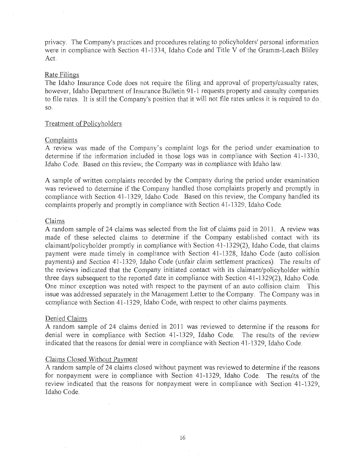privacy. The Company's practices and procedures relating to policyholders' personal information were in compliance with Section 41-1334, Idaho Code and Title V of the Gramm-Leach Bliley Act.

#### Rate Filings

The Idaho Insurance Code does not require the filing and approval of property/casualty rates; however, Idaho Department of Insurance Bulletin 91-1 requests property and casualty companies to file rates. It is still the Company's position that it will not file rates unless it is required to do so.

#### Treatment of Policyholders

#### Complaints

A review was made of the Company's complaint logs for the period under examination to determine if the information included in those logs was in compliance with Section 41-1330, Idaho Code. Based on this review, the Company was in compliance with Idaho law.

A sample of written complaints recorded by the Company during the period under examination was reviewed to determine if the Company handled those complaints properly and promptly in compliance with Section 41-1329, Idaho Code. Based on this review, the Company handled its complaints properly and promptly in compliance with Section 41-1329, Idaho Code.

#### Claims

A random sample of 24 claims was selected from the list of claims paid in 2011. A review was made of these selected claims to determine if the Company established contact with its claimant/policyholder promptly in compliance with Section 41-1329(2), Idaho Code, that claims payment were made timely in compliance with Section 41-1328, Idaho Code (auto collision payments) and *Section* 41-1329, Idaho Code (unfair claim settlement practices). The results of the reviews indicated that the Company initiated contact with its claimant/policyholder within three days subsequent to the reported date in compliance with Section 41-1329(2), Idaho Code. One minor exception was noted with respect to the payment of an auto collision claim. This issue was addressed separately in the Management Letter to the Company. The Company was in compliance with Section 41-1329, Idaho Code, with respect to other claims payments.

## Denied Claims

A random sample of 24 claims denied in 2011 was reviewed to determine if the reasons for denial were in compliance with Section 41-1329, Idaho Code. The results of the review indicated that the reasons for denial were in compliance with Section 41-1329, Idaho Code.

## Claims Closed Without Payment

A random sample of 24 claims closed without payment was reviewed to determine if the reasons for nonpayment were in compliance with Section 41-1329, Idaho Code. The results of the review indicated that the reasons for nonpayment were in compliance with Section 41-1329, Idaho Code.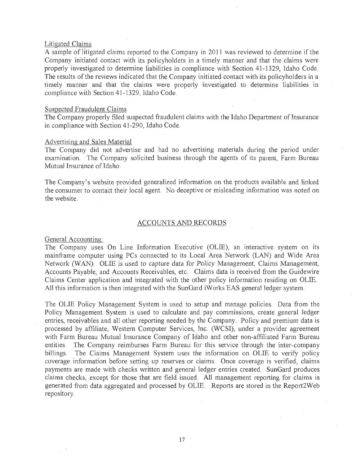#### Litigated Claims

A sample of litigated claims reported to the Company in 2011 was reviewed to determine if the Company initiated contact with its policyholders in a timely manner and that the claims were properly investigated to determine liabilities in compliance with Section 41-1329, Idaho Code. The results of the reviews indicated that the Company initiated contact with its policyholders in 'a timely manner and that the claims were properly investigated to determine liabilities in compliance with Section 41-1329, Idaho Code.

#### Suspected Fraudulent Claims

The Company properly filed suspected fraudulent claims with the Idaho Department of Insurance in compliance with Section 41-290, Idaho Code.

#### Advertising and Sales Material

The Company did not advertise and had no advertising materials during the period under examination. The Company solicited business through the agents of its parent, Farm Bureau Mutual Insurance of Idaho.

The Company's website provided generalized information on the products available and linked the consumer to contact their local agent. No deceptive or misleading information was noted on the website.

## ACCOUNTS AND RECORDS

#### General Accounting:

The Company uses On Line Information Executive (OLIE), an interactive system on its mainframe computer using PCs connected to its Local Area Network (LAN) and \Vide Area Network (WAN). OLIE is used to capture data for Policy Management, Claims Management, Accounts Payable, and Accounts Receivables, etc. Claims data is received from the Guidewire Claims Center application and integrated with the other policy information residing on OLlE. All this information is then integrated with the SunGard iWorks EAS general ledger system.

The OLIE Policy Management System is used to setup and manage policies Data from the Policy Management System is used to calculate and pay commissions, create general ledger entries, receivables and all other reporting needed by the Company. Policy and premium data is processed by affiliate, Western Computer Services, Inc. (WeSI), under a provider agreement with Farm Bureau Mutual Insurance Company of Idaho and other non-affiliated Farm Bureau entities. The Company reimburses Farm Bureau for this service through the inter-company billings. The Claims Management System uses the information on OLIE to verify policy coverage information before setting up reserves or claims. Once coverage is verified, claims payments are made with checks written and general ledger entries created. SunGard produces claims checks, except for those that are field issued. All management reporting for claims is generated ftom data aggregated and processed by OUE. Reports are stored in the Report2Web repository.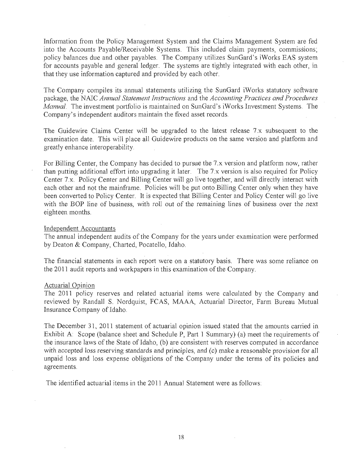Information from the Policy Management System and the Claims Management System are fed into the Accounts Payable/Receivable Systems. This included claim payments, commissions; policy balances due and other payables. The Company utilizes SunGard's iWorks EAS system for accounts payable and general ledger. The systems are tightly integrated with each other, in that they use information captured and provided by each other.

The Company compiles its annual statements utilizing the SunGard iWorks statutory software package, the NAIC *Annual Statement Instructions* and the *Accounting Practices and Procedures Manual.* The investment portfolio is maintained on SunGard's iWorks Investment Systems. The Company's independent auditors maintain the fixed asset records.

The Guidewire Claims Center will be upgraded to the latest release 7.x subsequent to the examination date. This will place all Guidewire products on the same version and platform and greatly enhance interoperability

For Billing Center, the Company has decided to pursue the 7.x version and platform now, rather ( than putting additional effort into upgrading it later. The 7.x version is also required for Policy Center 7.x. Policy Center and Billing Center will go live together, and will directly interact with each other and not the mainframe. Policies will be put onto Billing Center only when they have been converted to Policy Center. It is expected that Billing Center and Policy Center will go live with the BOP line of business, with roll out of the remaining lines of business over the next eighteen months.

#### Independent Accountants

The annual independent audits of the Company for the years under examination were performed by Deaton & Company, Charted, Pocatello, Idaho.

The financial statements in each report were on a statutory basis. There was some reliance on the 2011 audit reports and workpapers in this examination of the Company.

## Actuarial Opinion

The 2011 policy reserves and related actuarial items were calculated by the Company and reviewed by Randall S. Nordquist, FCAS, MAAA, Actuarial Director, Farm Bureau Mutual Insurance Company of Idaho.

The December 31, 2011 statement of actuarial opinion issued stated that the amounts carried in Exhibit A: Scope (balance sheet and Schedule P, Part 1 Summary) (a) meet the requirements of the insurance laws of the State of Idaho, (b) are consistent with reserves computed in accordance with accepted loss reserving standards and principles, and (c) make a reasonable provision for all unpaid loss and loss expense obligations of the Company under the terms of its policies and agreements.

The identified actuarial items in the 2011 Annual Statement were as follows: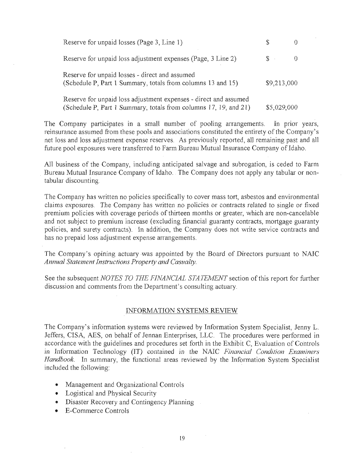| Reserve for unpaid losses (Page 3, Line 1)                                                                                           | S           |  |
|--------------------------------------------------------------------------------------------------------------------------------------|-------------|--|
| Reserve for unpaid loss adjustment expenses (Page, 3 Line 2)                                                                         | $S -$       |  |
| Reserve for unpaid losses - direct and assumed<br>(Schedule P, Part 1 Summary, totals from columns 13 and 15)                        | \$9,213,000 |  |
| Reserve for unpaid loss adjustment expenses - direct and assumed<br>(Schedule P, Part 1 Summary, totals from columns 17, 19, and 21) | \$5,029,000 |  |

The Company participates in a small number of pooling arrangements. In prior years, reinsurance assumed from these pools and associations constituted the entirety of the Company's net loss and loss adjustment expense reserves. As previously reported, all remaining; past and all future pool exposures were transferred to Farm Bureau Mutual Insurance Company of Idaho.

All business of the Company, including anticipated salvage and subrogation, is ceded to Farm Bureau Mutual Insurance Company of Idaho. The Company does not apply any tabular or nontabular discounting.

The Company has written no policies specifically to cover mass tort, asbestos and environmental claims exposures. The Company has written no policies or contracts related to single or fixed premium policies with coverage periods of thirteen months or greater, which are non-cancelable and not subject to premium increase (excluding financial guaranty contracts, mortgage guaranty policies, and surety contracts). In addition, the Company does not write service contracts and has no prepaid loss adjustment expense arrangements.

The Company's opining actuary was appointed by the Board of Directors pursuant to NAIC *Annual Statement Instructions Property and Casualty.* 

See the subsequent *NOTES TO THE FINANCIAL STATEMENT* section of this report for further discussion and comments from the Department's consulting actuary.

## INFORMATION SYSTEMS REVIEW

The Company's information systems were reviewed by Information System Specialist, Jenny L Jeffers, CISA, AES, on behalf of Jennan Enterprises, LLC. The procedures were performed in accordance with the guidelines and procedures set forth in the Exhibit C, Evaluation of Controls in Information Technology (IT) contained in the *NAlC Financial Condition Examiners Handbook.* In summary, the functional areas reviewed by the Information System Specialist included the following:

- Management and Organizational Controls
- Logistical and Physical Security
- Disaster Recovery and Contingency Planning
- E-Commerce Controls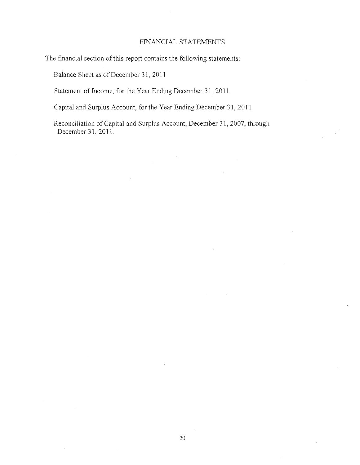## FINANCIAL STATEMENTS

The financial section of this report contains the following statements:

Balance Sheet as of December 31, 2011

Statement of Income, for the Year Ending December 31, 2011.

Capital and Surplus Account, for the Year Ending December 31, 2011

Reconciliation of Capital and Surplus Account, December 31, 2007, through December 31, 2011.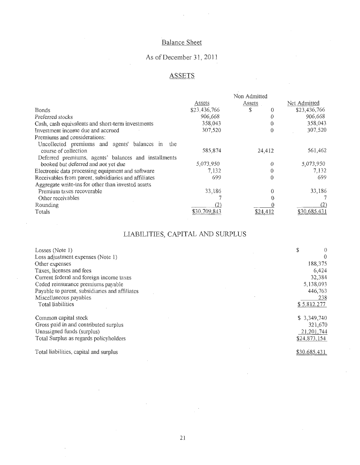## Balance Sheet

# As of December 31, 2011

# **ASSETS**

|                                                      | Non Admitted |          |              |
|------------------------------------------------------|--------------|----------|--------------|
|                                                      | Assets       | Assets   | Net Admitted |
| <b>Bonds</b>                                         | \$23.436,766 | $\Omega$ | \$23,436,766 |
| Preferred stocks                                     | 906,668      | $\theta$ | 906,668      |
| Cash, cash equivalents and short-term investments    | 358,043      | 0        | 358,043      |
| Investment income due and accrued                    | 307,520      | 0        | 307.520      |
| Premiums and considerations:                         |              |          |              |
| Uncollected premiums and agents' balances in<br>the  |              |          |              |
| course of collection                                 | 585,874      | 24,412   | 561,462      |
| Deferred premiums, agents' balances and installments |              |          |              |
| booked but deferred and not yet due                  | 5,073,950    | ♦        | 5,073,950    |
| Electronic data processing equipment and software    | 7,132        | $\theta$ | 7.132        |
| Receivables from parent, subsidiaries and affiliates | 699          | $\theta$ | 699          |
| Aggregate write-ins for other than invested assets   |              |          |              |
| Premium taxes recoverable                            | 33,186       |          | 33,186       |
| Other receivables                                    |              |          |              |
| Rounding                                             | (2)          |          | (2)          |
| Totals                                               | \$30,709,843 | \$24.412 | \$30,685,43  |

# LIABILITIES, CAPITAL AND SURPLUS

| Losses $(Note 1)$                              | \$           |          |
|------------------------------------------------|--------------|----------|
| Loss adjustment expenses (Note 1)              |              | $\Omega$ |
| Other expenses                                 | 188,375      |          |
| Taxes, licenses and fees                       | 6,424        |          |
| Current federal and foreign income taxes       | 32,384       |          |
| Ceded reinsurance premiums payable             | 5,138,093    |          |
| Payable to parent, subsidiaries and affiliates | 446,763      |          |
| Miscellaneous payables                         | $238 -$      |          |
| <b>Total liabilities</b>                       | \$5.812.277  |          |
| Common capital stock                           | \$3,349,740  |          |
| Gross paid in and contributed surplus          | 321,670      |          |
| Unassigned funds (surplus)                     | 21,201,744   |          |
| Total Surplus as regards policyholders         | \$24,873,154 |          |
| Total liabilities, capital and surplus         | \$30,685,431 |          |

 $\overline{\phantom{a}}$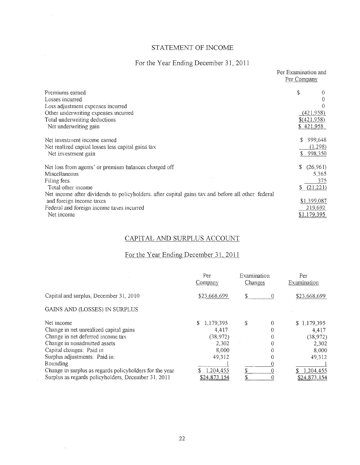## STATEMENT OF INCOME

 $\mathcal{A}_\mathrm{c}$ 

 $\sim 10^{-1}$ 

 $\mathcal{A}^{\mathrm{c}}$  and

 $\mathcal{A}^{\mathcal{A}}$ 

# For the Year Ending December 31, 2011

|                                                                                                   |   | Per Examination and<br>Per Company |
|---------------------------------------------------------------------------------------------------|---|------------------------------------|
| Premiums earned                                                                                   | S |                                    |
| Losses incurred                                                                                   |   |                                    |
| Loss adjustment expenses incurred                                                                 |   |                                    |
| Other underwriting expenses incurred                                                              |   | (421.958)                          |
| Total underwriting deductions                                                                     |   | \$(421.958)                        |
| Net underwriting gain                                                                             |   | \$421.958                          |
| Net investment income earned                                                                      |   | 999,648<br>\$                      |
| Net realized capital losses less capital gains tax                                                |   | (1.298)                            |
| Net investment gain                                                                               |   | \$998,350                          |
| Net loss from agents' or premium balances charged off                                             |   | \$<br>(26,961)                     |
| Miscellaneous                                                                                     |   | 5,365                              |
| Filing fees                                                                                       |   | 375                                |
| Total other income                                                                                |   | (21, 221)<br>\$                    |
| Net income after dividends to policyholders, after capital gains tax and before all other federal |   |                                    |
| and foreign income taxes                                                                          |   | \$1,399,087                        |
| Federal and foreign income taxes incurred                                                         |   | 219,692                            |
| Net income                                                                                        |   | <u>\$1.179.395</u>                 |

## CAPITAL AND SURPLUS ACCOUNT

# For the Year Ending December 31, 2011

|                                                         | Per<br>Company      | Examination<br>Changes |          | Per<br>Examination |
|---------------------------------------------------------|---------------------|------------------------|----------|--------------------|
| Capital and surplus, December 31, 2010                  | \$23,668,699        | \$                     | 0        | \$23,668,699       |
| GAINS AND (LOSSES) IN SURPLUS                           |                     |                        |          |                    |
| Net income                                              | \$1,179,395         | \$                     | 0        | \$1,179,395        |
| Change in net unrealized capital gains                  | 4,417               |                        | $\Omega$ | 4,417              |
| Change in net deferred income tax                       | (38.972)            |                        | $\theta$ | (38, 972)          |
| Change in nonadmitted assets                            | 2,302               |                        | 0        | 2.302              |
| Capital changes: Paid in                                | 8.000               |                        | $\Omega$ | 8.000              |
| Surplus adjustments: Paid in:                           | 49,312              |                        | 0        | 49,312             |
| Rounding                                                |                     |                        |          |                    |
| Change in surplus as regards policyholders for the year | 1,204,455           | S                      |          | 1.204.455          |
| Surplus as regards policyholders, December 31, 2011     | <u>\$24,873,154</u> |                        |          | \$24,873,154       |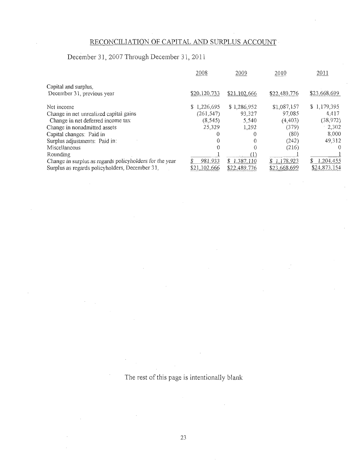## RECONCILIATION OF CAPITAL AND SURPLUS ACCOUNT

# December 31, 2007 Through December 31 , 2011

|                                                         | 2008         | 2009         | 2010         | 2011                       |
|---------------------------------------------------------|--------------|--------------|--------------|----------------------------|
| Capital and surplus.                                    |              |              |              |                            |
| December 31, previous year                              | \$20,120,733 | \$21,102,666 | \$22,489,776 | \$23,668.699               |
| Net income                                              | \$1,226,695  | \$1,286,952  | \$1,087,157  | \$1,179,395                |
| Change in net unrealized capital gains                  | (261, 547)   | 93,327       | 97,085       | 4,417                      |
| Change in net deferred income tax                       | (8, 545)     | 5,540        | (4, 403)     | (38, 972)                  |
| Change in nonadmitted assets                            | 25.329       | 1,292        | (379)        | 2,302                      |
| Capital changes: Paid in                                |              | 0            | (80)         | 8,000                      |
| Surplus adjustments: Paid in:                           |              | 0            | (242)        | 49,312                     |
| Miscellaneous                                           |              |              | (216)        | $\left( \right)$           |
| Rounding                                                |              | D            |              |                            |
| Change in surplus as regards policyholders for the year | 981.933      | \$1.387,110  | \$1,178,923  | $\mathbf{\$}$<br>1.204.455 |
| Surplus as regards policyholders, December 31,          | \$21,102,666 | \$22,489.776 | \$23.668.699 | \$24,873,154               |

The rest of this page is intentionally blank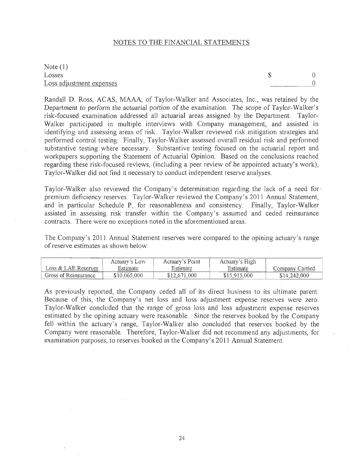## NOTES TO THE FINANCIAL STATEMENTS

Note (1) Losses Loss adjustment expenses

 $\mathbb{S}$  0  $\Omega$ 

Randall D. Ross, ACAS, MAAA, of Taylor-Walker and Associates, Inc., was retained by the Department to perform the actuarial portion of the examination. The scope of Taylor-Walker's risk-focused examination addressed all actuarial areas assigned by the Department. Taylor-Walker participated in multiple interviews with Company management, and assisted in identifying and assessing areas of risk. Taylor-Walker reviewed risk mitigation strategies and performed control testing. Finally, Taylor-Walker assessed overall residual risk and performed substantive testing where necessary. Substantive testing focused On the actuarial report and workpapers supporting the Statement of Actuarial Opinion. Based on the conclusions reached regarding these risk-focused reviews, (including a peer review of he appointed actuary's work), Taylor-Walker did not find it necessary to conduct independent reserve analyses.

Taylor-Walker also reviewed the Company's determination regarding the lack of a need for ' premium deficiency reserves. Taylor-Walker reviewed the Company's 2011 Annual Statement, and in particular Schedule P, for reasonableness and consistency. Finally, Taylor-Walker assisted in assessing risk transfer within the Company's assumed and ceded reinsurance contracts. There were no exceptions noted in the aforementioned areas.

The Company's 2011 Annual Statement reserves were compared to the opining actuary's range of reserve estimates as shown below:

|                                                       | Actuary's Low | Actuary's Point | Actuary's High |                 |
|-------------------------------------------------------|---------------|-----------------|----------------|-----------------|
| $\operatorname{Loss}$ & $\operatorname{LAE}$ Reserves | Estimate      | Estimate        | Estimate       | Company Carried |
| Gross of Reinsurance                                  | \$10,065,000  | \$12,671,000    | \$15,915,000   | \$14,242,000    |

As previously reported, the Company ceded all of its direct business to its ultimate parent. Because of this, the Company's net loss and loss adjustment expense reserves were zero. Taylor-Walker concluded that the range of gross loss and loss adjustment expense reserves estimated by the opining actuary were reasonable. Since the reserves booked by the Company fell within the actuary's range, Taylor-Walker also concluded that reserves booked by the Company were reasonable. Therefore, Taylor-Walker did not recommend any adjustments, for examination purposes, to reserves booked in the Company's 2011 Annual Statement.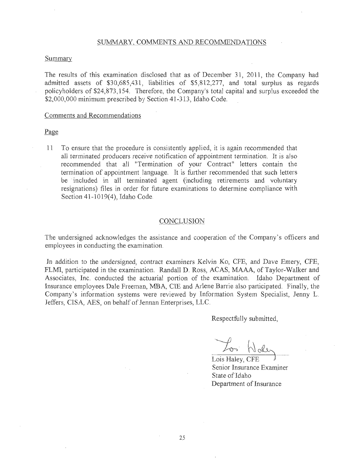#### SUMMARY, COMMENTS AND RECOMMENDATIONS

## Summary

The results of this examination disclosed that as of December 31, 2011, the Company had admitted assets of \$30,685,431, liabilities of \$5,812,277, and total surplus as regards policyholders of \$24,873,154. Therefore, the Company's total capital and surplus exceeded the \$2,000,000 minimum prescribed by Section 41-313, Idaho Code.

## Comments and Recommendations

#### Page

11 To ensure that the procedure is consistently applied, it is again recommended that all terminated producers receive notification of appointment termination. It is also recommended that all "Termination of your Contract" letters contain the termination of appointment language. It is further recommended that such letters be included in all terminated agent (including retirements and voluntary resignations) files in order for future examinations to determine compliance with Section 41-1019(4), Idaho Code.

## **CONCLUSION**

The undersigned acknowledges the assistance and cooperation of the Company's officers and employees in conducting the examination.

In addition to the undersigned, contract examiners Kelvin Ko, CFE, and Dave Emery, CFE, FLMI, participated in the examination. Randall D. Ross, ACAS, MAAA, of Taylor-Walker and Associates, Inc. conducted the actuarial portion of the examination. Idaho Department of Insurance employees Dale Freeman, MBA, CTE and Arlene Barrie also participated. Finally, the Company's information systems were reviewed by Information System Specialist, Jenny L. Jeffers, CISA, AES, on behalf of Jennan Enterprises, LLC.

Respectfully submitted,

 $L_{\infty}$   $\bigwedge_{\substack{\text{old.}}\text{Lois Haley, CFE}}$ 

Senior Insurance Examiner State of Idaho Department of Insurance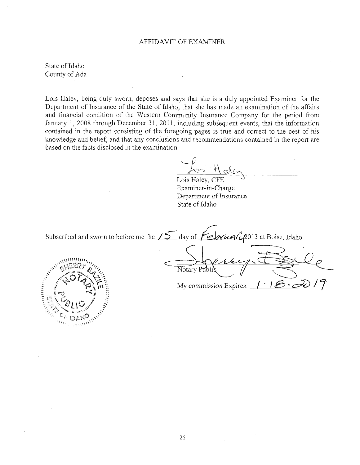#### AFFIDAVIT OF EXAMINER

State of Idaho County of Ada

Lois Haley, being duly sworn, deposes and says that she is a duly appointed Examiner for the Department of Insurance of the State of Idaho, that she has made an examination of the affairs and financial condition of the Western Community Insurance Company for the period from January 1, 2008 through December 31, 2011, including subsequent events, that the information contained in the report consisting of the foregoing pages is true and correct to the best of his knowledge and belief, and that any conclusions and recommendations contained in the report are based on the facts disclosed in the examination.

For Halen

Lois Haley, CFE Examiner-in -Charge Department of Insurance State of Idaho

Subscribed and sworn to before me the  $\sqrt{5}$  day of  $\sqrt{2}$   $\sqrt{4}$   $\sqrt{4}$   $\sqrt{2}$ 013 at Boise, Idaho



Notary Public Ce My commission Expires:  $\left| \cdot \right|$